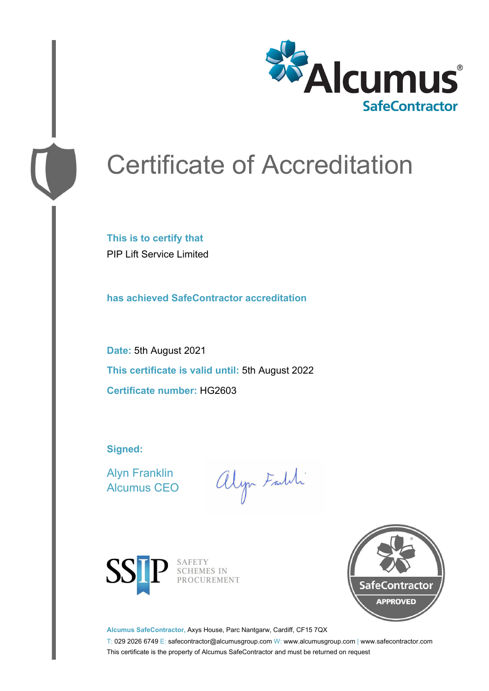

# Certificate of Accreditation

**This is to certify that** PIP Lift Service Limited

**has achieved SafeContractor accreditation**

**Date:** 5th August 2021 **This certificate is valid until:** 5th August 2022 **Certificate number:** HG2603

**Signed:**

Alyn Franklin Alcumus CEO

alyn Faith



SAFETY<br>SCHEMES IN PROCUREMENT



**Alcumus SafeContractor,** Axys House, Parc Nantgarw, Cardiff, CF15 7QX

T: 029 2026 6749 E: safecontractor@alcumusgroup.com W: www.alcumusgroup.com | www.safecontractor.com This certificate is the property of Alcumus SafeContractor and must be returned on request